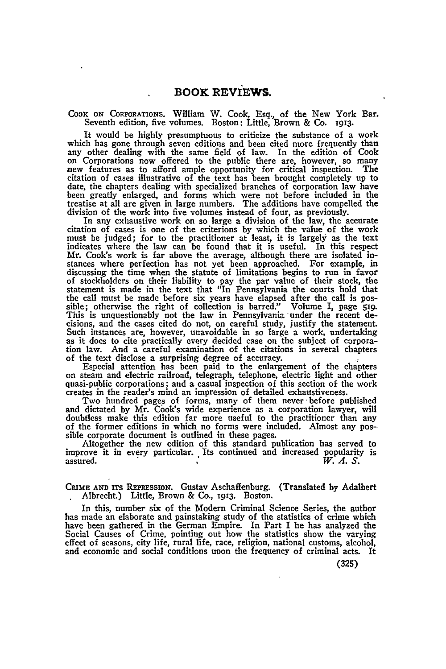**CooR ON CORPORATIONS.** William W. Cook, Esq., of the New York Bar. Seventh edition, five volumes. Boston: Little, Brown & Co. 1913.

It would be highly presumptuous to criticize the substance of a work which has gone through seven editions and been cited more frequently than any other dealing with the same field of law. In the edition of Cook on Corporations now offered to the public there are, however, so many new features as to afford ample opportunity for critical inspection. The citation of cases illustrative of the text has been brought completely up to date, the chapters dealing with specialized branches of corporation law have been greatly enlarged, and forms which were not before included in the treatise at all are given in large numbers. The additions have compelled the division of the work into five volumes instead of four, as previously.

In any exhaustive work on so large a division of the law, the accurate citation of cases is one of the criterions by which the value of the work must be judged; for to the practitioner at least, it is largely as the text indicates where the law can be found that it is useful. In this respect Mr. Cook's work is far above the average, although there are isolated instances where perfection has not yet been approached. For example, in discussing the time when the statute of limitations begins to run in favor of stockholders on their liability to pay the par value of their stock, the statement is made in the text that "In Pennsylvania the courts hold that the call must be made before six years have elapsed after the call is possible; otherwise the right of collection is barred." Volume I, page **519.** This is unquestionably not the law in Pennsylvania under the recent decisions, and the cases cited do not, on careful study, justify the statement. Such instances are, however, unavoidable in so large a work, undertaking as it does to cite practically every decided case on the subject of corporation law. And a careful examination of the citations in several chapters of the text disclose a surprising degree of accuracy.

Especial attention has been paid to the enlargement of the chapters on steam and electric railroad, telegraph, telephone, electric light and other quasi-public corporations; and a casual inspection of this section of the work creates in the reader's mind an impression of detailed exhaustiveness.

Two hundred pages of forms, many of them never-before published and dictated by Mr. Cook's wide experience as a corporation lawyer, will doubtless make this edition far more useful to the practitioner than any of the former editions in which no forms were included. Almost any possible corporate document is outlined in these pages.

Altogether the new edition of this standard publication has served to improve it in every particular. Its continued and increased popularity is assured.  $\tilde{W}$ ,  $\tilde{A}$ ,  $\tilde{S}$ ,  $\tilde{W}$ ,  $\tilde{A}$ ,  $\tilde{S}$ ,  $\tilde{W}$ ,  $\tilde{A}$ ,  $\tilde{S}$ ,  $\tilde{W}$ ,  $\tilde{A}$ ,  $\tilde{S}$ ,  $\tilde{W}$ ,  $\tilde{A}$ ,  $\tilde{S}$ ,  $\tilde{W}$ ,  $\tilde{A}$ ,  $\tilde{S}$ ,  $\tilde{W}$ ,  $\tilde{A}$ ,  $\tilde{S}$ ,  $\$ 

**CRIME AND ITs REPREssiON.** Gustav Aschaffenburg. (Translated by Adalbert Albrecht.) Little, Brown & Co., **1913.** Boston.

In this, number six of the Modern Criminal Science Series, the author has made an elaborate and painstaking study of the statistics of crime which have been gathered in the German Empire. In Part I he has analyzed the Social Causes of Crime, pointing out how the statistics show the varying effect of seasons, city life, rural life, race, religion, national customs, alcohol, and economic and social conditions unon the frequency of criminal acts. It

**(325)**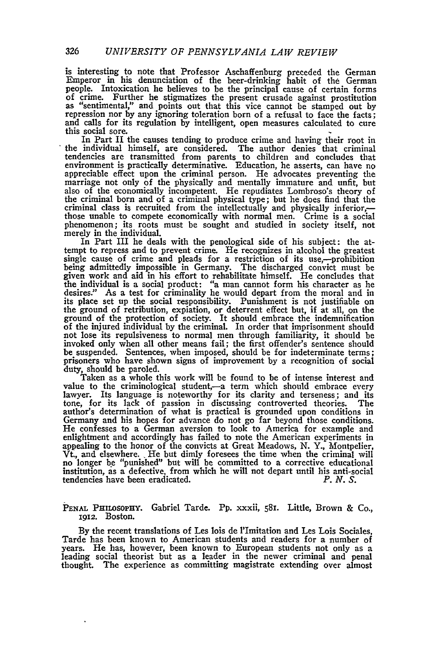is interesting to note that Professor Aschaffenburg preceded the German Emperor in his denunciation of the beer-drinking habit of the German people. Intoxication he believes to be the principal cause of certain forms performe. Further he stigmatizes the present crusade against prostitution<br>as "sentimental," and points out that this vice cannot be stamped out by<br>repression nor by any ignoring toleration born of a refusal to face the fac and calls for its regulation by intelligent, open measures calculated to cure this social sore. In Part II the causes tending to produce crime and having their root in

the individual himself, are considered. The author denies that criminal tendencies are transmitted from parents to children and concludes that environment is practically determinative. Education, he asserts, can have no appreciable effect upon the criminal person. He advocates preventing the marriage not only of the physically and mentally immature and unfit, but also of the economically incompetent. He repudiates Lombroso's theory of the criminal born and of a criminal physical type; but he does find that the criminal class is recruited from the intellectually and physically inferior,those unable to compete economically with normal men. Crime is a social phenomenon; its roots must be sought and studied in society itself, not merely in the individual.

In Part III he deals with the penological side of his subject: the attempt to repress and to prevent crime. He recognizes in alcohol the greatest single cause of crime and pleads for a restriction of its use,—prohibition being admittedly impossible in Germany. The discharged convict must be given work and aid in his effort to rehabilitate himself. He concludes that the individual is a social product: "a man cannot form his character as he desires." As a test for criminality he would depart from the moral and in its place set up the social responsibility. Punishment is not justifiable on the ground of retribution, expiation, or deterrent effect but, if at all, on the ground of the protection of society. It should embrace the indemnification of the injured individual by the criminal. In order that imprisonment should not lose its repulsiveness to normal men through familiarity, it should be invoked only when all other means fail; the first offender's sentence should be suspended. Sentences, when imposed, should be for indeterminate terms; prisoners who have shown signs of improvement **by** a recognition of social

Taken as a whole this work will be found to be of intense interest and value to the criminological student,—a term which should embrace every lawyer. Its language is noteworthy for its clarity and terseness; and its tone, for its lack of passion in discussing controverted theories. The author's determination of what is practical is grounded upon conditions in Germany and his hopes for advance do not go far beyond those conditions. He confesses to a German aversion to look to America for example and enlightment and accordingly has failed to note the American experiments in appealing to the honor of the convicts at Great Meadows, N. Y., Montpelier Vt., and elsewhere. He but dimly foresees the time when the criminal will no longer be "punished" but will be committed to a corrective educationa

PENAL PHILOSOPHY. Gabriel Tarde. Pp. xxxii, 581. Little, Brown & Co., 1912. Boston.

By the recent translations of Les lois de l'Imitation and Les Lois Sociales, Tarde has been known to American students and readers for a number of years. He has, however, been known to European students not only as a leading social theorist but as a leader in the newer criminal and penal thought. The experience as committing magistrate extending over almost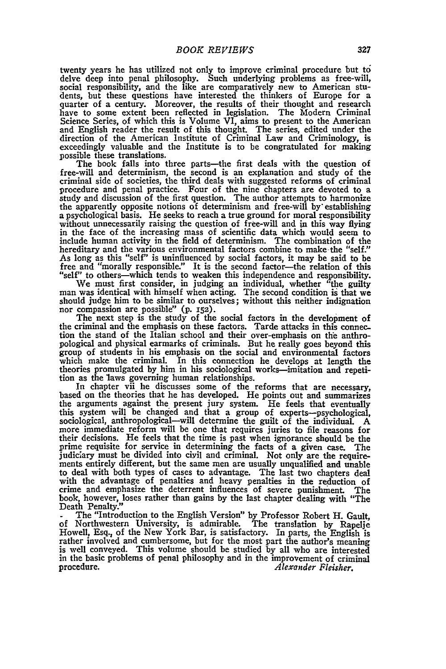twenty years he has utilized not only to improve criminal procedure but to delve deep into penal philosophy. Such underlying problems as free-will, social responsibility, and the like are comparatively new to American students, but these questions have interested the thinkers of Europe for a quarter of a century. Moreover, the results of their thought and research have to some extent been reflected in legislation. The Modern Criminal Science Series, of which this is Volume VI, aims to present to the American and English reader the result of this thought. The series, edited under the direction of the American Institute of Criminal Law and Criminology, is exceedingly valuable and the Institute is to be congratulated for making possible these translations.

The book falls into three parts-the first deals with the question of free-will and determinism, the second is an explanation and study of the criminal side of societies, the third deals with suggested reforms of criminal procedure and penal practice. Four of the nine chapters are devoted to a study and discussion of the first question. The author attempts to harmonize the apparently opposite notions of determinism and free-will by establis a psychological basis. He seeks to reach a true ground for moral responsibility without unnecessarily raising the question of free-will and in this way flying in the face of the increasing mass of scientific data which would seem to include human activity in the **field** of determinism. The combination of the hereditary and the various environmental factors combine to make the "self." As long as this "self" is uninfluenced **by** social factors, it may be said to be free and "morally responsible." It is the second factor-the relation of this "self" to others-which tends to weaken this independence and responsibility. We must first consider, in judging an individual, whether "the guilt

man was identical with himself when acting. The second condition is that we should judge him to be similar to ourselves; without this neither indignation nor compassion are possible" (p. 152).<br>The next step is the study of the social factors in the development of

the criminal and the emphasis on these factors. Tarde attacks in this connec- tion the stand of the Italian school and their over-emphasis on the anthropological and physical earmarks of criminals. But he really goes beyond this group of students in his emphasis on the social and environmental factors which make the criminal. In this connection he develops at length the theories promulgated by him in his sociological works-imitation and repetition as the laws governing human relationships.

In chapter vii he discusses some of the reforms that are necessary, based on the theories that he has developed. He points out and summarizes the arguments against the present jury system. He feels that eventually this system will be changed and that a group of experts-psychological, sociological, anthropological-will determine the guilt of the individual. A more immediate reform will be one that requires juries to file reasons for more immediate reform will be one that requires juries to file reasons for their decisions. He feels that the time is past when ignorance should be the prime requisite for service in determining the facts of a given case. The judiciary must be divided into civil and criminal. Not only are the requirements entirely different, but the same men are usually unqualified and unable to deal with both types of cases to advantage. The last two chapters deal with the advantage of penalties and heavy penalties in the reduction of crime and emphasize the deterrent influences of severe punishment. The book, however, loses rather than gains **by** the last chapter dealing with "The

Death Penalty." **-** The "Introduction to the English Version" **by** Professor Robert H. Gault, of Northwestern University, is admirable. The translation **by** Rapelje Howell, Esq., of the New York Bar, is satisfactory. In parts, the English is rather involved and cumbersome, but for the most part the author's meaning is well conveyed. This volume should be studied **by** all who are interested in the basic problems of penal philosophy and in the improvement of criminal procedure. *Alexander Fleisher.*